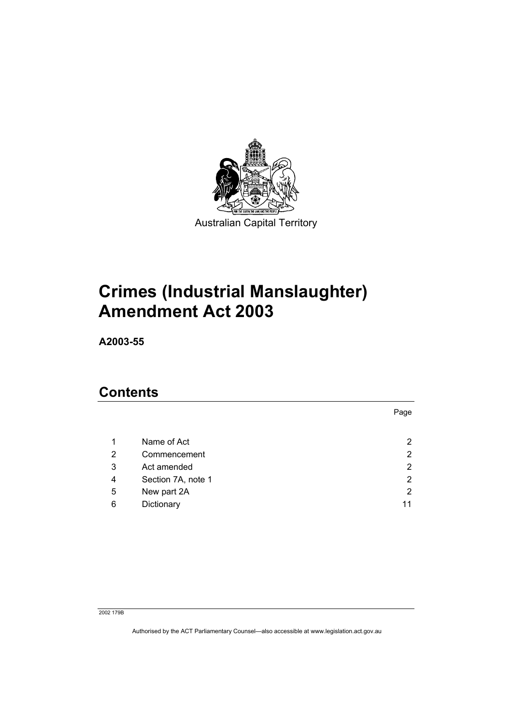

Australian Capital Territory

# **Crimes (Industrial Manslaughter) Amendment Act 2003**

**A2003-55** 

# **Contents**

|   |                    | Page                  |
|---|--------------------|-----------------------|
|   |                    |                       |
| 1 | Name of Act        | $\mathbf{2}^{\prime}$ |
| 2 | Commencement       | $\overline{2}$        |
| 3 | Act amended        | $\overline{2}$        |
| 4 | Section 7A, note 1 | $\overline{2}$        |
| 5 | New part 2A        | $\overline{2}$        |
| 6 | Dictionary         | 11                    |

#### 2002 179B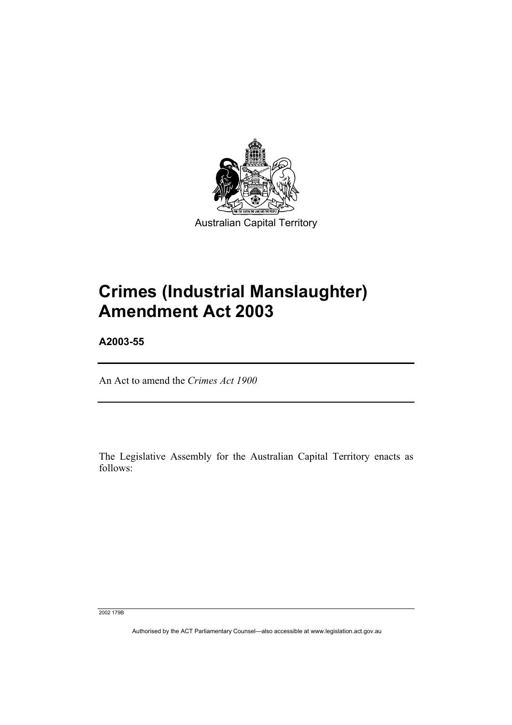

Australian Capital Territory

# **Crimes (Industrial Manslaughter) Amendment Act 2003**

**A2003-55** 

An Act to amend the *Crimes Act 1900*

The Legislative Assembly for the Australian Capital Territory enacts as follows:

2002 179B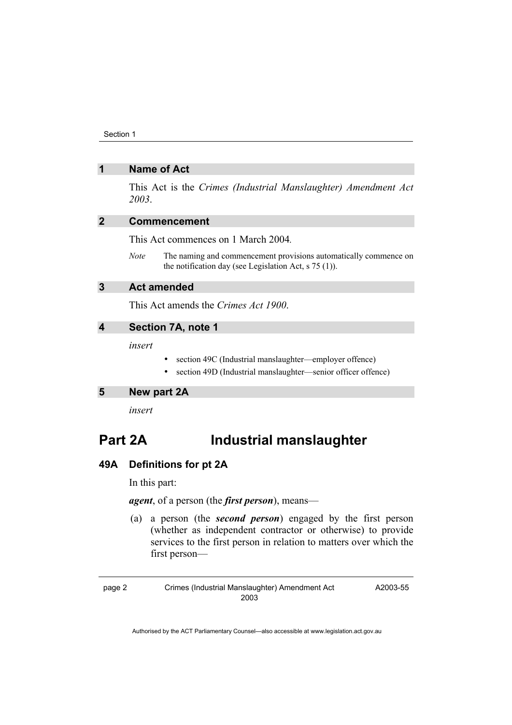### **1 Name of Act**

This Act is the *Crimes (Industrial Manslaughter) Amendment Act 2003*.

## **2 Commencement**

This Act commences on 1 March 2004*.*

*Note* The naming and commencement provisions automatically commence on the notification day (see Legislation Act, s 75 (1)).

# **3 Act amended**

This Act amends the *Crimes Act 1900*.

# **4 Section 7A, note 1**

*insert* 

- section 49C (Industrial manslaughter—employer offence)
- section 49D (Industrial manslaughter—senior officer offence)

**5 New part 2A** 

*insert* 

# **Part 2A Industrial manslaughter**

#### **49A Definitions for pt 2A**

In this part:

*agent*, of a person (the *first person*), means—

 (a) a person (the *second person*) engaged by the first person (whether as independent contractor or otherwise) to provide services to the first person in relation to matters over which the first person—

A2003-55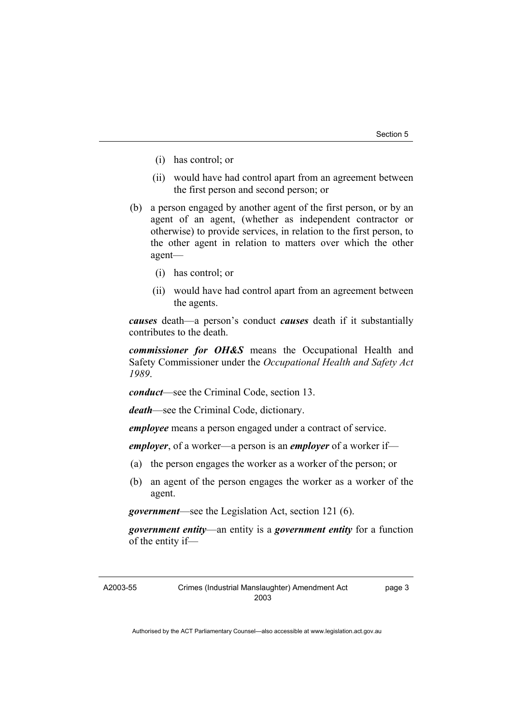- (i) has control; or
- (ii) would have had control apart from an agreement between the first person and second person; or
- (b) a person engaged by another agent of the first person, or by an agent of an agent, (whether as independent contractor or otherwise) to provide services, in relation to the first person, to the other agent in relation to matters over which the other agent—
	- (i) has control; or
	- (ii) would have had control apart from an agreement between the agents.

*causes* death—a person's conduct *causes* death if it substantially contributes to the death.

*commissioner for OH&S* means the Occupational Health and Safety Commissioner under the *Occupational Health and Safety Act 1989*.

*conduct*—see the Criminal Code, section 13.

*death*—see the Criminal Code, dictionary.

*employee* means a person engaged under a contract of service.

*employer*, of a worker—a person is an *employer* of a worker if—

- (a) the person engages the worker as a worker of the person; or
- (b) an agent of the person engages the worker as a worker of the agent.

*government*—see the Legislation Act, section 121 (6).

*government entity*—an entity is a *government entity* for a function of the entity if—

A2003-55

page 3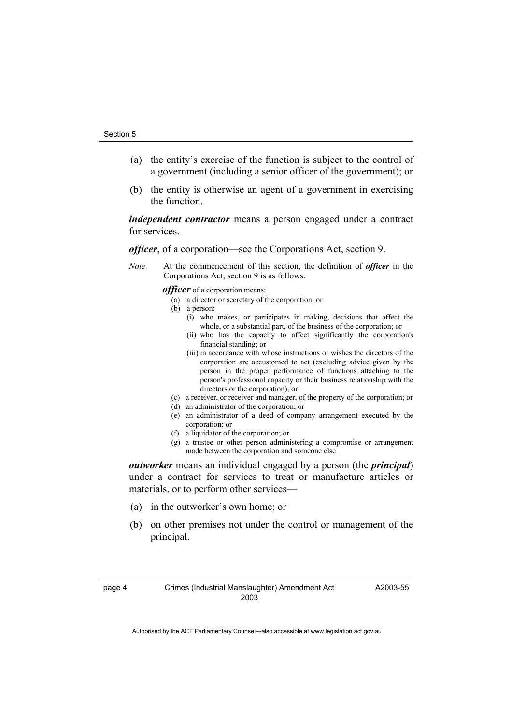- (a) the entity's exercise of the function is subject to the control of a government (including a senior officer of the government); or
- (b) the entity is otherwise an agent of a government in exercising the function.

*independent contractor* means a person engaged under a contract for services.

*officer*, of a corporation—see the Corporations Act, section 9.

*Note* At the commencement of this section, the definition of *officer* in the Corporations Act, section 9 is as follows:

*officer* of a corporation means:

- (a) a director or secretary of the corporation; or
- (b) a person:
	- (i) who makes, or participates in making, decisions that affect the whole, or a substantial part, of the business of the corporation; or
	- (ii) who has the capacity to affect significantly the corporation's financial standing; or
	- (iii) in accordance with whose instructions or wishes the directors of the corporation are accustomed to act (excluding advice given by the person in the proper performance of functions attaching to the person's professional capacity or their business relationship with the directors or the corporation); or
- (c) a receiver, or receiver and manager, of the property of the corporation; or
- (d) an administrator of the corporation; or
- (e) an administrator of a deed of company arrangement executed by the corporation; or
- (f) a liquidator of the corporation; or
- (g) a trustee or other person administering a compromise or arrangement made between the corporation and someone else.

*outworker* means an individual engaged by a person (the *principal*) under a contract for services to treat or manufacture articles or materials, or to perform other services—

- (a) in the outworker's own home; or
- (b) on other premises not under the control or management of the principal.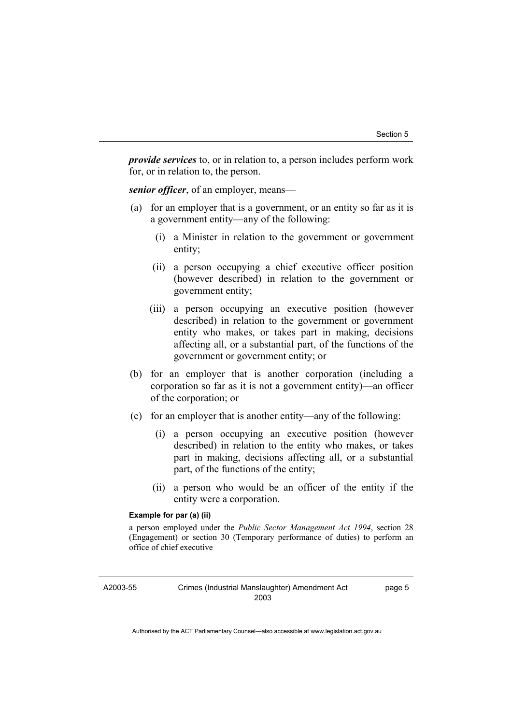*provide services* to, or in relation to, a person includes perform work for, or in relation to, the person.

*senior officer*, of an employer, means—

- (a) for an employer that is a government, or an entity so far as it is a government entity—any of the following:
	- (i) a Minister in relation to the government or government entity;
	- (ii) a person occupying a chief executive officer position (however described) in relation to the government or government entity;
	- (iii) a person occupying an executive position (however described) in relation to the government or government entity who makes, or takes part in making, decisions affecting all, or a substantial part, of the functions of the government or government entity; or
- (b) for an employer that is another corporation (including a corporation so far as it is not a government entity)—an officer of the corporation; or
- (c) for an employer that is another entity—any of the following:
	- (i) a person occupying an executive position (however described) in relation to the entity who makes, or takes part in making, decisions affecting all, or a substantial part, of the functions of the entity;
	- (ii) a person who would be an officer of the entity if the entity were a corporation.

#### **Example for par (a) (ii)**

a person employed under the *Public Sector Management Act 1994*, section 28 (Engagement) or section 30 (Temporary performance of duties) to perform an office of chief executive

A2003-55

page 5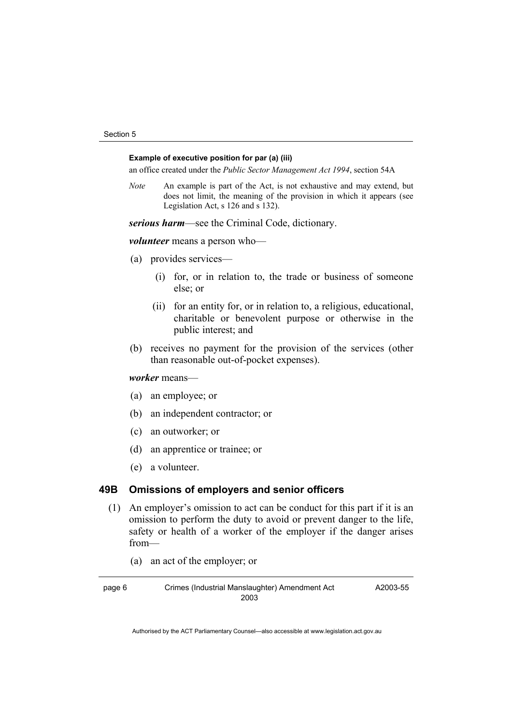#### **Example of executive position for par (a) (iii)**

an office created under the *Public Sector Management Act 1994*, section 54A

*Note* An example is part of the Act, is not exhaustive and may extend, but does not limit, the meaning of the provision in which it appears (see Legislation Act, s 126 and s 132).

*serious harm*—see the Criminal Code, dictionary.

*volunteer* means a person who—

- (a) provides services—
	- (i) for, or in relation to, the trade or business of someone else; or
	- (ii) for an entity for, or in relation to, a religious, educational, charitable or benevolent purpose or otherwise in the public interest; and
- (b) receives no payment for the provision of the services (other than reasonable out-of-pocket expenses).

*worker* means—

- (a) an employee; or
- (b) an independent contractor; or
- (c) an outworker; or
- (d) an apprentice or trainee; or
- (e) a volunteer.

#### **49B Omissions of employers and senior officers**

- (1) An employer's omission to act can be conduct for this part if it is an omission to perform the duty to avoid or prevent danger to the life, safety or health of a worker of the employer if the danger arises from—
	- (a) an act of the employer; or

A2003-55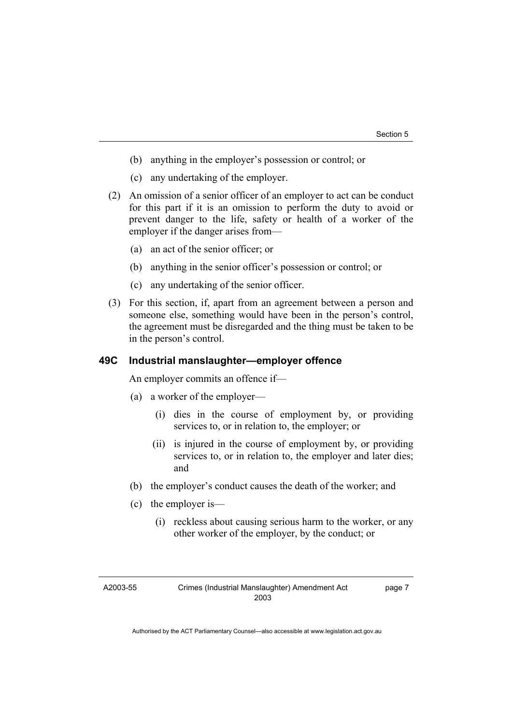- (b) anything in the employer's possession or control; or
- (c) any undertaking of the employer.
- (2) An omission of a senior officer of an employer to act can be conduct for this part if it is an omission to perform the duty to avoid or prevent danger to the life, safety or health of a worker of the employer if the danger arises from—
	- (a) an act of the senior officer; or
	- (b) anything in the senior officer's possession or control; or
	- (c) any undertaking of the senior officer.
- (3) For this section, if, apart from an agreement between a person and someone else, something would have been in the person's control, the agreement must be disregarded and the thing must be taken to be in the person's control.

#### **49C Industrial manslaughter—employer offence**

An employer commits an offence if—

- (a) a worker of the employer—
	- (i) dies in the course of employment by, or providing services to, or in relation to, the employer; or
	- (ii) is injured in the course of employment by, or providing services to, or in relation to, the employer and later dies; and
- (b) the employer's conduct causes the death of the worker; and
- (c) the employer is—
	- (i) reckless about causing serious harm to the worker, or any other worker of the employer, by the conduct; or

A2003-55

page 7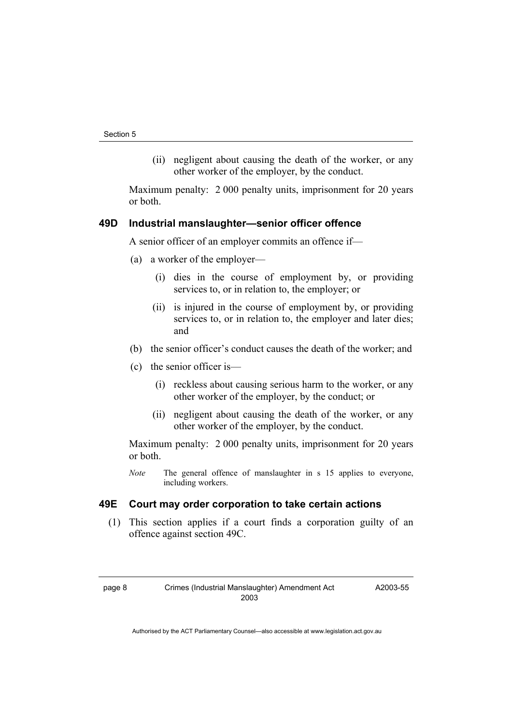(ii) negligent about causing the death of the worker, or any other worker of the employer, by the conduct.

Maximum penalty: 2 000 penalty units, imprisonment for 20 years or both.

### **49D Industrial manslaughter—senior officer offence**

A senior officer of an employer commits an offence if—

- (a) a worker of the employer—
	- (i) dies in the course of employment by, or providing services to, or in relation to, the employer; or
	- (ii) is injured in the course of employment by, or providing services to, or in relation to, the employer and later dies; and
- (b) the senior officer's conduct causes the death of the worker; and
- (c) the senior officer is—
	- (i) reckless about causing serious harm to the worker, or any other worker of the employer, by the conduct; or
	- (ii) negligent about causing the death of the worker, or any other worker of the employer, by the conduct.

Maximum penalty: 2 000 penalty units, imprisonment for 20 years or both.

*Note* The general offence of manslaughter in s 15 applies to everyone, including workers.

# **49E Court may order corporation to take certain actions**

 (1) This section applies if a court finds a corporation guilty of an offence against section 49C.

A2003-55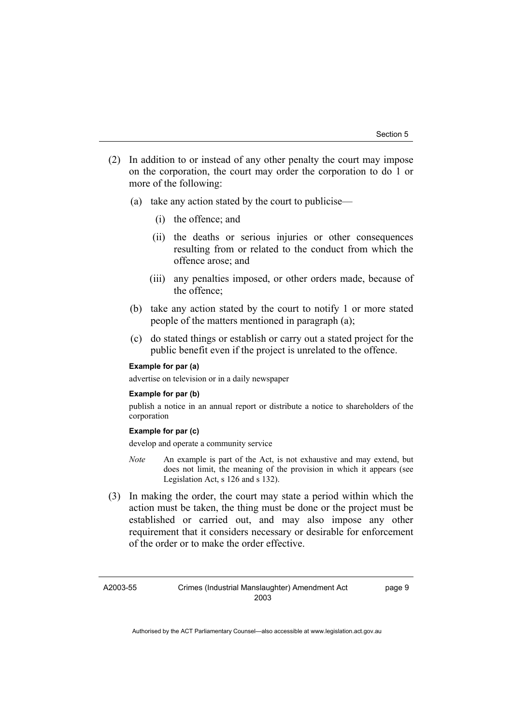- (2) In addition to or instead of any other penalty the court may impose on the corporation, the court may order the corporation to do 1 or more of the following:
	- (a) take any action stated by the court to publicise—
		- (i) the offence; and
		- (ii) the deaths or serious injuries or other consequences resulting from or related to the conduct from which the offence arose; and
		- (iii) any penalties imposed, or other orders made, because of the offence;
	- (b) take any action stated by the court to notify 1 or more stated people of the matters mentioned in paragraph (a);
	- (c) do stated things or establish or carry out a stated project for the public benefit even if the project is unrelated to the offence.

#### **Example for par (a)**

advertise on television or in a daily newspaper

#### **Example for par (b)**

publish a notice in an annual report or distribute a notice to shareholders of the corporation

#### **Example for par (c)**

develop and operate a community service

- *Note* An example is part of the Act, is not exhaustive and may extend, but does not limit, the meaning of the provision in which it appears (see Legislation Act, s 126 and s 132).
- (3) In making the order, the court may state a period within which the action must be taken, the thing must be done or the project must be established or carried out, and may also impose any other requirement that it considers necessary or desirable for enforcement of the order or to make the order effective.

A2003-55

page 9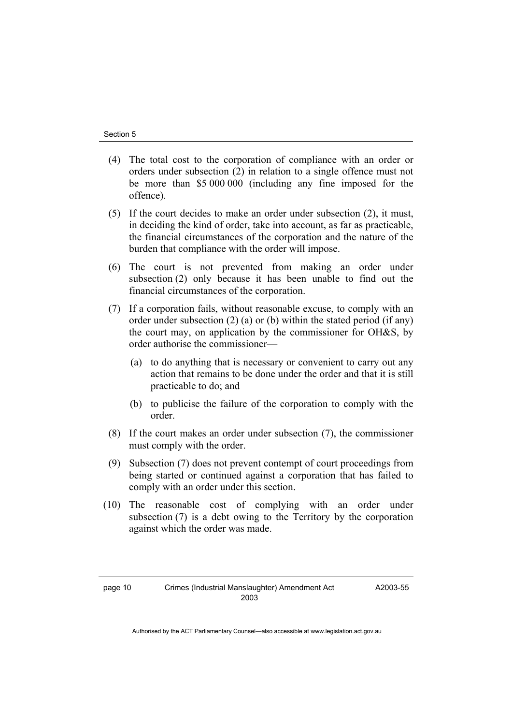- (4) The total cost to the corporation of compliance with an order or orders under subsection (2) in relation to a single offence must not be more than \$5 000 000 (including any fine imposed for the offence).
- (5) If the court decides to make an order under subsection (2), it must, in deciding the kind of order, take into account, as far as practicable, the financial circumstances of the corporation and the nature of the burden that compliance with the order will impose.
- (6) The court is not prevented from making an order under subsection (2) only because it has been unable to find out the financial circumstances of the corporation.
- (7) If a corporation fails, without reasonable excuse, to comply with an order under subsection (2) (a) or (b) within the stated period (if any) the court may, on application by the commissioner for OH&S, by order authorise the commissioner—
	- (a) to do anything that is necessary or convenient to carry out any action that remains to be done under the order and that it is still practicable to do; and
	- (b) to publicise the failure of the corporation to comply with the order.
- (8) If the court makes an order under subsection (7), the commissioner must comply with the order.
- (9) Subsection (7) does not prevent contempt of court proceedings from being started or continued against a corporation that has failed to comply with an order under this section.
- (10) The reasonable cost of complying with an order under subsection (7) is a debt owing to the Territory by the corporation against which the order was made.

A2003-55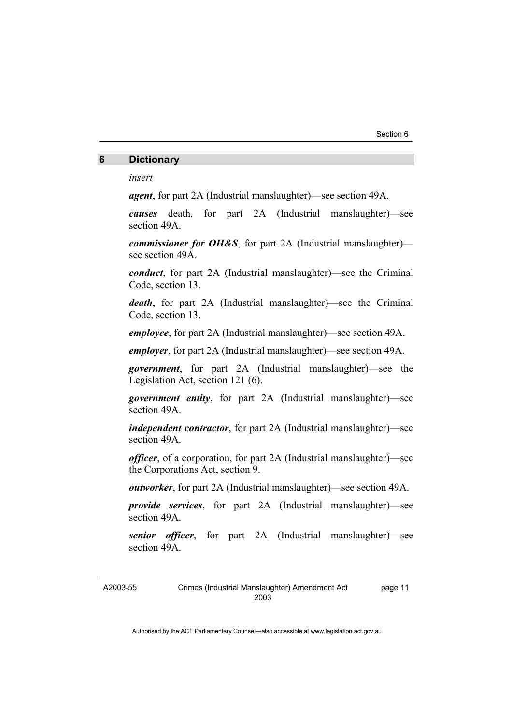## **6 Dictionary**

*insert* 

*agent*, for part 2A (Industrial manslaughter)—see section 49A.

*causes* death, for part 2A (Industrial manslaughter)—see section 49A.

*commissioner for OH&S*, for part 2A (Industrial manslaughter) see section 49A.

*conduct*, for part 2A (Industrial manslaughter)—see the Criminal Code, section 13.

*death*, for part 2A (Industrial manslaughter)—see the Criminal Code, section 13.

*employee*, for part 2A (Industrial manslaughter)—see section 49A.

*employer*, for part 2A (Industrial manslaughter)—see section 49A.

*government*, for part 2A (Industrial manslaughter)—see the Legislation Act, section 121 (6).

*government entity*, for part 2A (Industrial manslaughter)—see section 49A.

*independent contractor*, for part 2A (Industrial manslaughter)—see section 49A.

*officer*, of a corporation, for part 2A (Industrial manslaughter)—see the Corporations Act, section 9.

*outworker*, for part 2A (Industrial manslaughter)—see section 49A.

*provide services*, for part 2A (Industrial manslaughter)—see section 49A.

*senior officer*, for part 2A (Industrial manslaughter)—see section 49A.

A2003-55

page 11